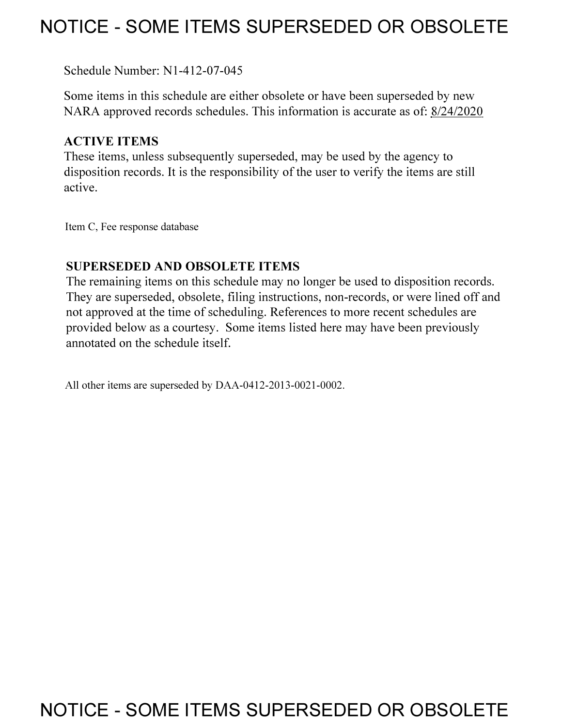## **NOTICE - SOME ITEMS SUPERSEDED OR OBSOLETE**

Schedule Number: Nl-412-07-045

Some items in this schedule are either obsolete or have been superseded by new NARA approved records schedules. This information is accurate as of: 8/24/2020

## **ACTIVE ITEMS**

These items, unless subsequently superseded, may be used by the agency to disposition records. It is the responsibility of the user to verify the items are still active.

Item C, Fee response database

## **SUPERSEDED AND OBSOLETE ITEMS**

The remaining items on this schedule may no longer be used to disposition records. They are superseded, obsolete, filing instructions, non-records, or were lined off and not approved at the time of scheduling. References to more recent schedules are provided below as a courtesy. Some items listed here may have been previously annotated on the schedule itself.

All other items are superseded by DAA-0412-2013-0021-0002.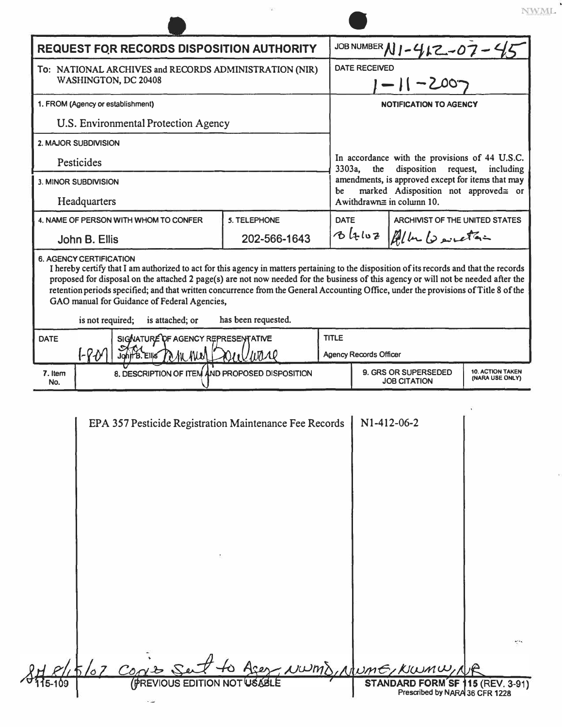| <b>REQUEST FOR RECORDS DISPOSITION AUTHORITY</b>                                                                |                      |                                                                                                                                                                                                                                                                                                                            |              |             | JOB NUMBER N1-412-07-4                                                                               |                                                                                           |                                            |  |
|-----------------------------------------------------------------------------------------------------------------|----------------------|----------------------------------------------------------------------------------------------------------------------------------------------------------------------------------------------------------------------------------------------------------------------------------------------------------------------------|--------------|-------------|------------------------------------------------------------------------------------------------------|-------------------------------------------------------------------------------------------|--------------------------------------------|--|
| To: NATIONAL ARCHIVES and RECORDS ADMINISTRATION (NIR)<br>WASHINGTON, DC 20408                                  |                      |                                                                                                                                                                                                                                                                                                                            |              |             | <b>DATE RECEIVED</b><br>1-11-2007                                                                    |                                                                                           |                                            |  |
| 1. FROM (Agency or establishment)                                                                               |                      |                                                                                                                                                                                                                                                                                                                            |              |             | <b>NOTIFICATION TO AGENCY</b>                                                                        |                                                                                           |                                            |  |
| U.S. Environmental Protection Agency                                                                            |                      |                                                                                                                                                                                                                                                                                                                            |              |             |                                                                                                      |                                                                                           |                                            |  |
|                                                                                                                 | 2. MAJOR SUBDIVISION |                                                                                                                                                                                                                                                                                                                            |              |             |                                                                                                      |                                                                                           |                                            |  |
| Pesticides                                                                                                      |                      |                                                                                                                                                                                                                                                                                                                            |              |             | In accordance with the provisions of 44 U.S.C.<br>disposition request,<br>3303a,<br>the<br>including |                                                                                           |                                            |  |
|                                                                                                                 | 3. MINOR SUBDIVISION |                                                                                                                                                                                                                                                                                                                            |              | be          |                                                                                                      | amendments, is approved except for items that may<br>marked Adisposition not approved≅ or |                                            |  |
|                                                                                                                 | Headquarters         |                                                                                                                                                                                                                                                                                                                            |              |             |                                                                                                      | A withdrawn $\equiv$ in column 10.                                                        |                                            |  |
| 4. NAME OF PERSON WITH WHOM TO CONFER                                                                           |                      |                                                                                                                                                                                                                                                                                                                            | 5. TELEPHONE | <b>DATE</b> |                                                                                                      | ARCHIVIST OF THE UNITED STATES                                                            |                                            |  |
| John B. Ellis                                                                                                   |                      |                                                                                                                                                                                                                                                                                                                            | 202-566-1643 |             |                                                                                                      | Blow Blub boutan                                                                          |                                            |  |
|                                                                                                                 |                      |                                                                                                                                                                                                                                                                                                                            |              |             |                                                                                                      |                                                                                           |                                            |  |
|                                                                                                                 |                      | proposed for disposal on the attached 2 page(s) are not now needed for the business of this agency or will not be needed after the<br>retention periods specified; and that written concurrence from the General Accounting Office, under the provisions of Title 8 of the<br>GAO manual for Guidance of Federal Agencies, |              |             |                                                                                                      |                                                                                           |                                            |  |
| has been requested.<br>is not required;<br>is attached; or<br>SIGNATURE OF AGENCY REPRESENTATIVE<br><b>DATE</b> |                      |                                                                                                                                                                                                                                                                                                                            |              |             | <b>TITLE</b>                                                                                         |                                                                                           |                                            |  |
|                                                                                                                 |                      |                                                                                                                                                                                                                                                                                                                            |              |             |                                                                                                      |                                                                                           |                                            |  |
|                                                                                                                 | -80                  | John B. Ellis Park Med                                                                                                                                                                                                                                                                                                     |              |             | <b>Agency Records Officer</b>                                                                        |                                                                                           |                                            |  |
| 7. Item<br>No.                                                                                                  |                      | 8. DESCRIPTION OF ITEM AND PROPOSED DISPOSITION                                                                                                                                                                                                                                                                            |              |             |                                                                                                      | 9. GRS OR SUPERSEDED<br><b>JOB CITATION</b>                                               | <b>10. ACTION TAKEN</b><br>(NARA USE ONLY) |  |
|                                                                                                                 |                      | EPA 357 Pesticide Registration Maintenance Fee Records                                                                                                                                                                                                                                                                     |              |             |                                                                                                      | N1-412-06-2                                                                               |                                            |  |
|                                                                                                                 |                      | $8/15/07$ Contro                                                                                                                                                                                                                                                                                                           |              |             |                                                                                                      | WWMD, NUME, KIWMW, 1                                                                      |                                            |  |

 $_{\mathrm{NML}}$ 

 $\bar{y}$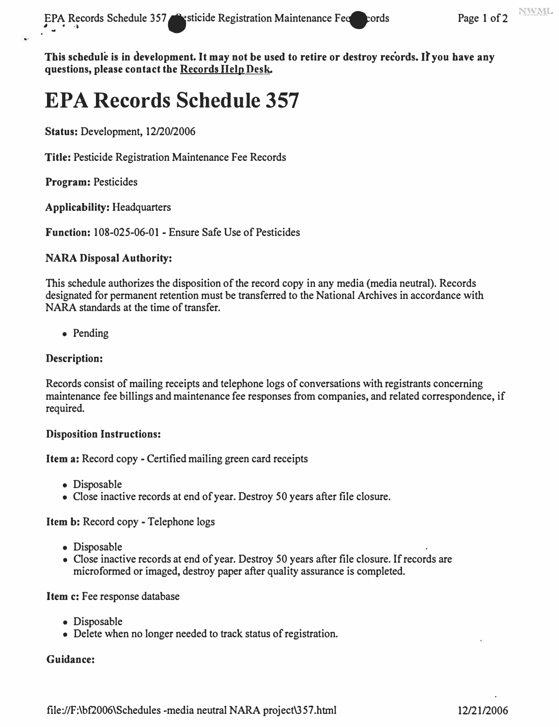**This schedule is in development. It may not be used to retire or destroy records. It you have any questions, please contact the Records HelpDesk.** 

# **EPA Records Schedule 357**

**Status: Development, 12/20/2006** 

**Title:** Pesticide Registration Maintenance Fee Records

**Program:** Pesticides

**Applicability:** Headquarters

**Function:** 108-025-06-01 - Ensure Safe Use of Pesticides

#### **NARA Disposal Authority:**

This schedule authorizes the disposition of the record copy in any media (media neutral). Records designated for permanent retention must be transferred to the National Archives in accordance with NARA standards at the time of transfer.

• Pending

#### **Description:**

Records consist of mailing receipts and telephone logs of conversations with registrants concerning maintenance fee billings and maintenance fee responses from companies, and related correspondence, if required.

#### **Disposition Instructions:**

**Item a:** Record copy - Certified mailing green card receipts

- Disposable
- Close inactive records at end of year. Destroy 50 years after file closure.

**Item b:** Record copy - Telephone logs

- Disposable
- Close inactive records at end of year. Destroy 50 years after file closure. If records are microformed or imaged, destroy paper after quality assurance is completed.

#### Item c: Fee response database

- Disposable
- Delete when no longer needed to track status of registration.

#### **Guidance:**